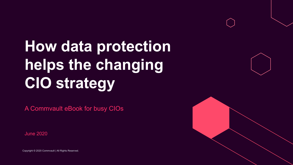# **How data protection helps the changing CIO strategy**

A Commvault eBook for busy CIOs

June 2020

Copyright © 2020 Commvault | All Rights Reserved.

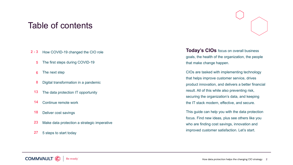## Table of contents

- How COVID-19 changed the CIO role **[2 -](#page-2-0) 3**
	- The first steps during COVID-19 **[5](#page-4-0)**
	- The next step **[6](#page-5-0)**
	- Digital transformation in a pandemic **[8](#page-7-0)**
	- The data protection IT opportunity **[13](#page-12-0)**
	- Continue remote work **[14](#page-13-0)**
	- Deliver cost savings **[18](#page-17-0)**
	- Make data protection a strategic imperative **[23](#page-22-0)**
	- 5 steps to start today **[27](#page-26-0)**



**Today's CIOs** focus on overall business goals, the health of the organization, the people that make change happen.

CIOs are tasked with implementing technology that helps improve customer service, drives product innovation, and delivers a better financial result. All of this while also preventing risk, securing the organization's data, and keeping the IT stack modern, effective, and secure.

This guide can help you with the data protection focus. Find new ideas, plus see others like you who are finding cost savings, innovation and improved customer satisfaction. Let's start.



How data protection helps the changing CIO strategy 2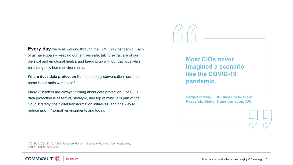<span id="page-2-0"></span>**Every day** we're all working through the COVID-19 pandemic. Each of us have goals – keeping our families safe, taking extra care of our physical and emotional health, and keeping up with our day jobs while balancing new home environments.

**Where does data protection fit** into the daily conversation now that home is our main workplace?

Many IT leaders are always thinking about data protection. For CIOs, data protection is essential, strategic, and top of mind. It is part of the cloud strategy, the digital transformation initiatives, and one way to reduce risk in "normal" environments and today.

**Most CIOs never imagined a scenario like the COVID-19 pandemic.**

**Serge Findling | IDC, Vice President of Research, Digital Transformation, IDC**

IDC, Post-COVID-19: A CIO Recovery Guide — Scenario Planning Your Responses, Serge Findling, April 2020

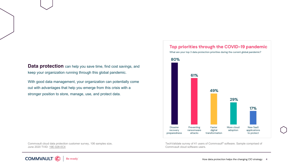**Data protection** can help you save time, find cost savings, and keep your organization running through this global pandemic.

With good data management, your organization can potentially come out with advantages that help you emerge from this crisis with a stronger position to store, manage, use, and protect data.



Commvault cloud data protection customer survey, 106 samples size, June 2020 TVID: [19E-028-0C4](https://www.techvalidate.com/product-research/commvault-software/charts/19E-028-0C4)



TechValidate survey of 41 users of Commvault® software. Sample comprised of Commvault cloud software users.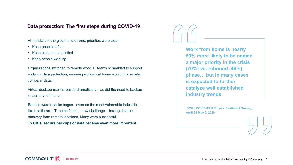#### <span id="page-4-0"></span>**Data protection: The first steps during COVID-19**

At the start of the global shutdowns, priorities were clear.

- Keep people safe.
- Keep customers satisfied.
- Keep people working.

Organizations switched to remote work. IT teams scrambled to support endpoint data protection, ensuring workers at home wouldn't lose vital company data.

Virtual desktop use increased dramatically – as did the need to backup virtual environments.

Ransomware attacks began –even on the most vulnerable industries like healthcare. IT teams faced a new challenge – testing disaster recovery from remote locations. Many were successful.

**To CIOs, secure backups of data became even more important.**

**Work from home is nearly 50% more likely to be named a major priority in the crisis (70%) vs. rebound (48%) phase… but in many cases is expected to further catalyze well established industry trends.**

**BCG | COVID-19 IT Buyers Sentiment Survey, April 24-May 5, 2020**



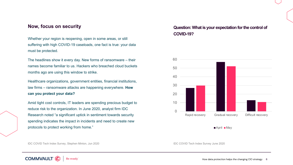Whether your region is reopening, open in some areas, or still suffering with high COVID-19 caseloads, one fact is true: your data must be protected.

The headlines show it every day. New forms of ransomware – their names become familiar to us. Hackers who breached cloud buckets months ago are using this window to strike.

Healthcare organizations, government entities, financial institutions, law firms – ransomware attacks are happening everywhere. **How can you protect your data?**

Amid tight cost controls, IT leaders are spending precious budget to reduce risk to the organization. In June 2020, analyst firm IDC Research noted "a significant uptick in sentiment towards security spending indicates the impact in incidents and need to create new protocols to protect working from home."

IDC COVID Tech Index Survey, Stephen Minton, Jun 2020 **IDC COVID Tech Index Survey June 2020** 

<span id="page-5-0"></span>





How data protection helps the changing CIO strategy 6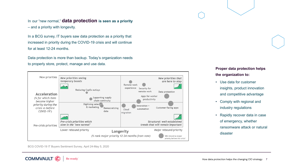In our "new normal," **data protection is seen as a priority**  – and a priority with longevity.

In a BCG survey, IT buyers saw data protection as a priority that increased in priority during the COVID-19 crisis and will continue for at least 12-24 months.

Data protection is more than backup. Today's organization needs to properly store, protect, manage and use data.



**Proper data protection helps the organization to:**

- Use data for customer insights, product innovation and competitive advantage
- Comply with regional and industry regulations
- Rapidly recover data in case of emergency, whether ransomware attack or natural disaster

BCG COVID-19 IT Buyers Sentiment Survey, April 24-May 5, 2020

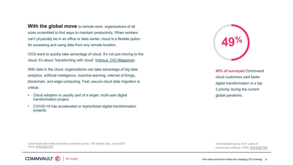<span id="page-7-0"></span>**With the global move** to remote work, organizations of all sizes scrambled to find ways to maintain productivity. When workers can't physically be in an office or data center, cloud is a flexible option for accessing and using data from any remote location.

CIOs want to quickly take advantage of cloud. It's not just moving to the cloud; it's about "transforming with cloud" ([Infosys, CIO Magazine](https://www.cio.com/article/3533343/scaling-up-to-the-next-stage-of-transformation-on-cloud.html)).

With data in the cloud, organizations can take advantage of big data analytics, artificial intelligence, machine learning, internet of things, blockchain, and edge computing. Fast, secure cloud data migration is critical.

- Cloud adoption is usually part of a larger, multi-year digital transformation project.
- COVID-19 has accelerated or reprioritized digital transformation projects.



**49% of surveyed** Commvault cloud customers said faster digital transformation is a top 3 priority during the current global pandemic.

Commvault cloud data protection customer survey, 106 sample size, June 2020 TVID: [5FB-EDB-76D](https://www.techvalidate.com/product-research/commvault-software/facts/5FB-EDB-76D)

TechValidate survey of 41 users of Commvault software. TVID: [5FB-EDB-76D](https://www.techvalidate.com/product-research/commvault-software/facts/5FB-EDB-76D)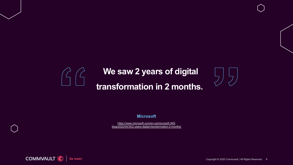## **We saw 2 years of digital**

## **transformation in 2 months.**

#### **Microsoft**

https://www.microsoft.com/en-us/microsoft-365/ [blog/2020/04/30/2-years-digital-transformation-2-months/](https://www.microsoft.com/en-us/microsoft-365/blog/2020/04/30/2-years-digital-transformation-2-months/) 



Copyright © 2020 Commvault | All Rights Reserved. 9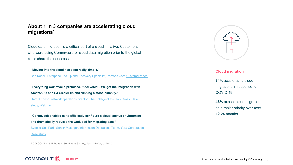### **About 1 in 3 companies are accelerating cloud migrations1**

Cloud data migration is a critical part of a cloud initiative. Customers who were using Commvault for cloud data migration prior to the global crisis share their success.

**"Moving into the cloud has been really simple."**

Ben Roper, Enterprise Backup and Recovery Specialist, Parsons Corp [Customer video.](https://www.youtube.com/watch?v=glOFAZ1capk)

**"Everything Commvault promised, it delivered... We got the integration with Amazon S3 and S3 Glacier up and running almost instantly."** [Harold Knapp, network operations director, The College of the Holy Cross, Case](https://www.commvault.com/resources/case-study-college-of-the-holy-cross) study, [Webinar](https://www.commvault.com/webinars/college-of-the-holy-cross)

**"Commvault enabled us to efficiently configure a cloud backup environment and dramatically reduced the workload for migrating data."** Byeong-Sub Park, Senior Manager, Information Operations Team, Yura Corporation [Case study](https://www.commvault.com/resources/case-study-yura-corporation)

BCG COVID-19 IT Buyers Sentiment Survey, April 24-May 5, 2020



#### **Cloud migration**

**34%** accelerating cloud migrations in response to COVID-19

**46%** expect cloud migration to be a major priority over next 12-24 months

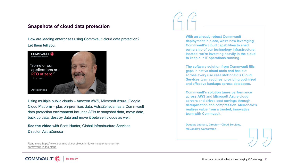### **Snapshots of cloud data protection**

How are leading enterprises using Commvault cloud data protection? Let them tell you.



Using multiple public clouds – Amazon AWS, Microsoft Azure, Google Cloud Platform – plus on-premises data, AstraZeneca has a Commvault data protection environment includes APIs to snapshot data, move data, back up data, destroy data and move it between clouds as well.

**[See the video](https://www.youtube.com/watch?v=DjJS9q8E5To)** with Scott Hunter, Global Infrastructure Services Director, AstraZeneca

[Read more https://www.commvault.com/blogs/im-lovin-it-customers-turn-to](https://www.commvault.com/blogs/im-lovin-it-customers-turn-to-commvault-in-the-cloud)commvault-in-the-cloud

**With an already robust Commvault deployment in place, we're now leveraging Commvault's cloud capabilities to shed ownership of our technology infrastructure; instead, we're investing heavily in the cloud to keep our IT operations running.** 

**The software solution from Commvault fills gaps in native cloud tools and has cut across every use case McDonald's Cloud Services team requires, providing optimized and effective backups across databases.** 

**Commvault's solution tunes performance across AWS and Microsoft Azure cloud servers and drives cost savings through deduplication and compression. McDonald's realizes value from a trusted, innovative team with Commvault.**

**Douglas Leonard, Director – Cloud Services, McDonald's Corporation**

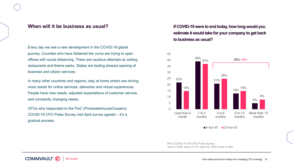#### **When will it be business as usual?**

Every day we see a new development in the COVID-19 global journey. Counties who have flattened the curve are trying to open offices with social distancing. There are cautious attempts at visiting restaurants and theme parks. States are testing phased opening of business and citizen services.

In many other countries and regions, stay at home orders are driving more needs for online services, deliveries and virtual experiences. People have new needs, adjusted expectations of customer service, and constantly changing needs.

CFOs who responded to the PwC (PricewaterhouseCoopers) COVID-19 CFO Pulse Survey mid-April survey agreed – it's a gradual process.

### **If COVID-19 were to end today, how long would you estimate it would take for your company to get back to business as usual?**



 $8 - Apr-20$   $22 - Apr-20$ 

PwC COVID-19 US CFO Pulse Survey April 8, 2020: base of 313; April 22, 2020: base of 305

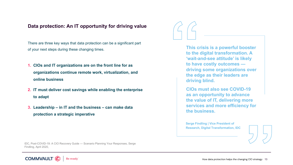#### <span id="page-12-0"></span>**Data protection: An IT opportunity for driving value**

There are three key ways that data protection can be a significant part of your next steps during these changing times.

- **1. CIOs and IT organizations are on the front line for as organizations continue remote work, virtualization, and online business**
- **2. IT must deliver cost savings while enabling the enterprise to adapt**
- **3. Leadership – in IT and the business – can make data protection a strategic imperative**

**This crisis is a powerful booster to the digital transformation. A 'wait-and-see attitude' is likely to have costly outcomes driving some organizations over the edge as their leaders are driving blind.**

**CIOs must also see COVID-19 as an opportunity to advance the value of IT, delivering more services and more efficiency for the business.**

**Serge Findling | Vice President of Research, Digital Transformation, IDC**



IDC, Post-COVID-19: A CIO Recovery Guide — Scenario Planning Your Responses, Serge Findling, April 2020,

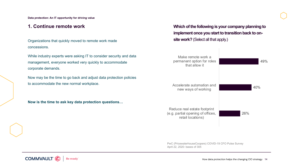<span id="page-13-0"></span>**Data protection: An IT opportunity for driving value**

Organizations that quickly moved to remote work made concessions.

While industry experts were asking IT to consider security and data management, everyone worked very quickly to accommodate corporate demands.

Now may be the time to go back and adjust data protection policies to accommodate the new normal workplace.

**Now is the time to ask key data protection questions…**

**1. Continue remote work Which of the following is your company planning to implement once you start to transition back to on**site work? (Select all that apply.)



PwC (PricewaterhouseCoopers) COVID-19 CFO Pulse Survey April 22, 2020: bases of 305



How data protection helps the changing CIO strategy 14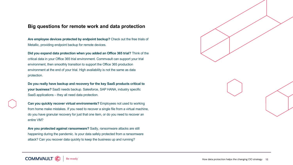#### **Big questions for remote work and data protection**

**Are employee devices protected by endpoint backup?** Check out the free trials of Metallic, providing endpoint backup for remote devices.

**Did you expand data protection when you added an Office 365 trial?** Think of the critical data in your Office 365 trial environment. Commvault can support your trial environment, then smoothly transition to support the Office 365 production environment at the end of your trial. High availability is not the same as data protection.

**Do you really have backup and recovery for the key SaaS products critical to your business?** SaaS needs backup. Salesforce, SAP HANA, industry specific SaaS applications – they all need data protection.

**Can you quickly recover virtual environments?** Employees not used to working from home make mistakes. If you need to recover a single file from a virtual machine, do you have granular recovery for just that one item, or do you need to recover an entire VM?

**Are you protected against ransomware?** Sadly, ransomware attacks are still happening during the pandemic. Is your data safely protected from a ransomware attack? Can you recover data quickly to keep the business up and running?

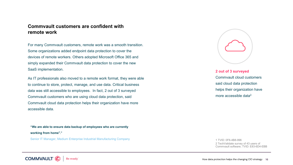#### **Commvault customers are confident with remote work**

For many Commvault customers, remote work was a smooth transition. Some organizations added endpoint data protection to cover the devices of remote workers. Others adopted Microsoft Office 365 and simply expanded their Commvault data protection to cover the new SaaS implementation.

As IT professionals also moved to a remote work format, they were able to continue to store, protect, manage, and use data. Critical business data was still accessible to employees. In fact, 2 out of 3 surveyed Commvault customers who are using cloud data protection, said Commvault cloud data protection helps their organization have more accessible data.

**"We are able to ensure data backup of employees who are currently working from home1."** Senior IT Manager, Medium Enterprise Industrial Manufacturing Company



### **2 out of 3 surveyed**  Commvault cloud customers said cloud data protection helps their organization have more accessible data<sup>2.</sup>

1 TVID: 0F6-4B8-996 2 TechValidate survey of 43 users of Commvault software; TVID: E83-6D4-EBB

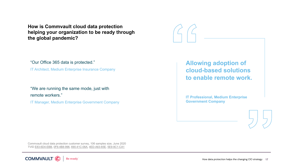**How is Commvault cloud data protection helping your organization to be ready through the global pandemic?**

"Our Office 365 data is protected."

IT Architect, Medium Enterprise Insurance Company

"We are running the same mode, just with remote workers."

IT Manager, Medium Enterprise Government Company

**Allowing adoption of cloud-based solutions to enable remote work.**

**IT Professional, Medium Enterprise Government Company**

Commvault cloud data protection customer survey, 106 samples size, June 2020 TVID [E83-6D4-EBB,](https://www.techvalidate.com/product-research/commvault-software/facts/E83-6D4-EBB) [0F6-4B8-996](https://www.techvalidate.com/product-research/commvault-software/facts/0F6-4B8-996), [690-41C-06A,](https://www.techvalidate.com/product-research/commvault-software/facts/690-41C-06A) [4ED-A63-65E](https://www.techvalidate.com/product-research/commvault-software/facts/4ED-A63-65E), [5E9-9C1-CA1](https://www.techvalidate.com/product-research/commvault-software/facts/5E9-9C1-CA1)

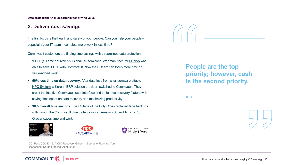<span id="page-17-0"></span>**Data protection: An IT opportunity for driving value**

#### **2. Deliver cost savings**

The first focus is the health and safety of your people. Can you help your people – especially your IT team – complete more work in less time?

Commvault customers are finding time savings with streamlined data protection:

- **1 FTE** (full time equivalent). Global RF semiconductor manufacturer [Quorvo](https://www.youtube.com/watch?v=f05YdB9qRZk&feature=youtu.be) was able to save 1 FTE with Commvault. Now the IT team can focus more time on value-added work.
- **50% less time on data recovery.** After data loss from a ransomware attack, [NPC System,](https://www.commvault.com/resources/case-study-npc-system) a Korean ERP solution provider, switched to Commvault. They credit the intuitive Commvault user interface and table-level recovery feature with saving time spent on data recovery and maximizing productivity.
- **30% overall time savings.** [The College of the Holy Cross](https://www.commvault.com/resources/case-study-college-of-the-holy-cross) replaced tape backups with cloud. The Commvault direct integration to Amazon S3 and Amazon S3 Glacier saves time and work.



**COMMVAUL** 





IDC, Post-COVID-19: A CIO Recovery Guide — Scenario Planning Your Responses, Serge Findling, April 2020

Be ready<sup>®</sup>

**People are the top priority; however, cash is the second priority.**

**IDC**

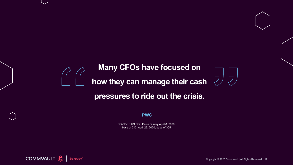### **Many CFOs have focused on**

**how they can manage their cash** 

### **pressures to ride out the crisis.**

**PWC**

COVID-18 US CFO Pulse Survey April 8, 2020: base of 212; April 22, 2020, base of 305



Copyright © 2020 Commvault | All Rights Reserved. 19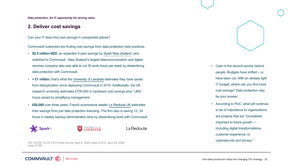**Data protection: An IT opportunity for driving value**

#### **2. Deliver cost savings**

Can your IT team find cost savings in unexpected places?

Commvault customers are finding cost savings from data protection best practices.

- **\$2.5 million NZD**, an expected 3-year savings by Spark New [Zealand,](https://www.commvault.com/resources/case-study-spark-new-zealand) who switched to Commvault. New Zealand's largest telecommunication and digital services company also was able to cut 30 work hours per week by streamlining data protection with Commvault.
- > **£1 million**, that's what the [University](https://www.commvault.com/resources/case-study-university-of-leicester) of Leicester estimates they have saved from deduplication since deploying Commvault in 2010. Additionally, the UK research university estimates £700,000 in hardware cost savings plus 1,800 hours saved by simplifying management.
- **£60,000** over three years, French ecommerce retailer [Le Redoute UK](https://www.commvault.com/resources/case-study-la-redoute) estimates their savings from just data protection licensing. The firm also is saving 12- 24 hours in weekly backup administration time by streamlining work with Commvault.



**COMMVAUL1** 



La Redoute

WC COVID-19 US CFO Pulse Survey April 8, 2020: base of 212; April 22, 2020, base of 305

Be readv



- Cash is the second priority behind people. Budgets have shifted – or have been cut. With an already tight IT budget, where can you find more cost savings? Data protection may be your answer.
- According to PwC, what will continue to be of importance to organizations are projects that are "considered important to future growth including digital transformations, customer experience, or cybersecurity and privacy."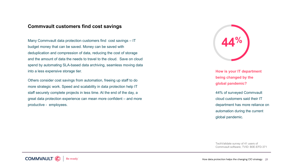#### **Commvault customers find cost savings**

Many Commvault data protection customers find cost savings – IT budget money that can be saved. Money can be saved with deduplication and compression of data, reducing the cost of storage and the amount of data the needs to travel to the cloud. Save on cloud spend by automating SLA-based data archiving, seamless moving data into a less expensive storage tier.

Others consider cost savings from automation, freeing up staff to do more strategic work. Speed and scalability in data protection help IT staff securely complete projects in less time. At the end of the day, a great data protection experience can mean more confident – and more productive - employees.



**How is your IT department being changed by the global pandemic?**

44% of surveyed Commvault cloud customers said their IT department has more reliance on automation during the current global pandemic.

TechValidate survey of 41 users of Commvault software; TVID: B0E-EFD-371

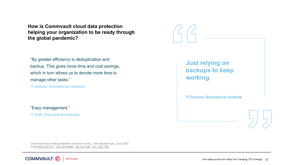**How is Commvault cloud data protection helping your organization to be ready through the global pandemic?**

"By greater efficiency in deduplication and backup. This gives more time and cost savings, which in turn allows us to devote more time to manage other tasks."

IT Director, Educational Institution

"Easy management."

**IT Staff, Educational Institution** 

**Just relying on backups to keep working. IT Director, Educational Institute** 

Commvault cloud data protection customer survey, 106 samples size, June 2020 TVID [B0E-EFD-371,](https://www.techvalidate.com/product-research/commvault-software/facts/B0E-EFD-371) [75C-4FB-BB8,](https://www.techvalidate.com/product-research/commvault-software/facts/75C-4FB-BB8) [745-061-536,](https://www.techvalidate.com/product-research/commvault-software/facts/745-061-536) [2CF-19C-73E](https://www.techvalidate.com/product-research/commvault-software/facts/2CF-19C-73E)

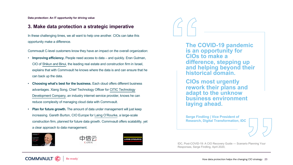<span id="page-22-0"></span>**Data protection: An IT opportunity for driving value**

#### **3. Make data protection a strategic imperative**

In these challenging times, we all want to help one another. CIOs can take this opportunity make a difference.

Commvault C-level customers know they have an impact on the overall organization:

- **Improving efficiency.** People need access to data and quickly. Eran Gutman, CIO of [Shikun](https://www.youtube.com/watch?v=KD5JepQQ5ek) and Binui, the leading real estate and construction firm in Israel, explains that with Commvault he knows where the data is and can ensure that he can back up the data.
- **Choosing what's best for the business.** Each cloud offers different business advantages. Xiang Song, Chief Technology Officer for CITIC Technology Development [Company, an industry internet service provider, knows he c](https://www.commvault.com/resources/case-study-citic-cloud)an reduce complexity of managing cloud data with Commvault.
- **Plan for future growth.** The amount of data under management will just keep increasing. Gareth Burton, CIO Europe for Laing [O'Rourke,](https://www.commvault.com/resources/case-study-laing-orourke) a large-scale construction firm, planned for future data growth. Commvault offers scalability, yet a clear approach to data management.







**The COVID-19 pandemic is an opportunity for CIOs to make a difference, stepping up and helping beyond their historical domain.**

**CIOs most urgently rework their plans and adapt to the unknow business environment laying ahead.**

**Serge Findling | Vice President of Research, Digital Transformation, IDC** 



IDC, Post-COVID-19: A CIO Recovery Guide — Scenario Planning Your Responses, Serge Findling, April 2020,



How data protection helps the changing CIO strategy 23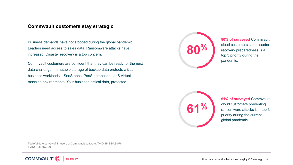#### **Commvault customers stay strategic**

Business demands have not stopped during the global pandemic. Leaders need access to sales data. Ransomware attacks have increased. Disaster recovery is a top concern.

Commvault customers are confident that they can be ready for the next data challenge. Immutable storage of backup data protects critical business workloads – SaaS apps, PaaS databases, IaaS virtual machine environments. Your business-critical data, protected.



**80% of surveyed** Commvault cloud customers said disaster recovery preparedness is a top 3 priority during the pandemic.



**61% of surveyed** Commvault cloud customers preventing ransomware attacks is a top 3 priority during the current global pandemic.

TechValidate survey of 41 users of Commvault software; TVID: B42-BA8-078; TVID: C08-6D3-E00

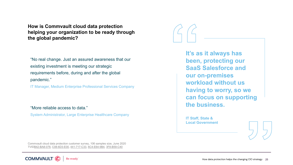**How is Commvault cloud data protection helping your organization to be ready through the global pandemic?**

"No real change. Just an assured awareness that our existing investment is meeting our strategic requirements before, during and after the global pandemic."

IT Manager, Medium Enterprise Professional Services Company

"More reliable access to data."

System Administrator, Large Enterprise Healthcare Company



**It's as it always has been, protecting our SaaS Salesforce and our on-premises workload without us having to worry, so we can focus on supporting the business.**

**IT Staff, State & Local Government**



Commvault cloud data protection customer survey, 106 samples size, June 2020 TVID[B42-BA8-078,](https://www.techvalidate.com/product-research/commvault-software/facts/B42-BA8-078) [C08-6D3-E00,](https://www.techvalidate.com/product-research/commvault-software/facts/C08-6D3-E00) [441-717-C33](https://www.techvalidate.com/product-research/commvault-software/facts/441-717-C33), [6C4-E64-9B4,](https://www.techvalidate.com/product-research/commvault-software/facts/6C4-E64-9B4) [3F8-B59-C40](https://www.techvalidate.com/product-research/commvault-software/facts/3F8-B59-C40)

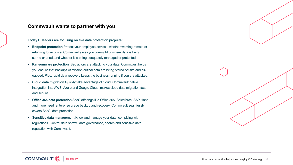#### **Commvault wants to partner with you**

#### **Today IT leaders are focusing on five data protection projects:**

- **Endpoint protection** Protect your employee devices, whether working remote or returning to an office. Commvault gives you oversight of where data is being stored or used, and whether it is being adequately managed or protected.
- **Ransomware protection** Bad actors are attacking your data. Commvault helps you ensure that backups of mission-critical data are being stored off-site and airgapped. Plus, rapid data recovery keeps the business running if you are attacked.
- **Cloud data migration** Quickly take advantage of cloud. Commvault native integration into AWS, Azure and Google Cloud, makes cloud data migration fast and secure.
- **Office 365 data protection** SaaS offerings like Office 365, Salesforce, SAP Hana and more need enterprise grade backup and recovery. Commvault seamlessly covers SaaS data protection.
- **Sensitive data management** Know and manage your data, complying with regulations. Control data sprawl, data governance, search and sensitive data regulation with Commvault.

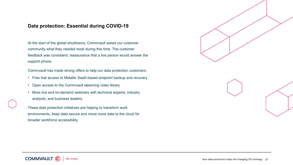### <span id="page-26-0"></span>**Data protection: Essential during COVID-19**

At the start of the global shutdowns, Commvault asked our customer community what they needed most during this time. The customer feedback was consistent: reassurance that a live person would answer the support phone.

Commvault has made strong offers to help our data protection customers.

- Free trial access to Metallic SaaS-based endpoint backup and recovery
- Open access to the Commvault elearning video library
- More live and on-demand webinars with technical experts, industry analysts, and business leaders.

These data protection initiatives are helping to transform work environments, keep data secure and move more data to the cloud for broader workforce accessibility.

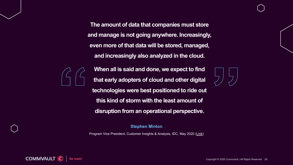**The amount of data that companies must store and manage is not going anywhere. Increasingly, even more of that data will be stored, managed, and increasingly also analyzed in the cloud.**



**When all is said and done, we expect to find that early adopters of cloud and other digital technologies were best positioned to ride out this kind of storm with the least amount of disruption from an operational perspective.**

**Stephen Minton**

Program Vice President, Customer Insights & Analysis, IDC, May 2020 [\(Link\)](https://www.idc.com/getdoc.jsp?containerId=prUS46268520)



Copyright © 2020 Commvault | All Rights Reserved. 28